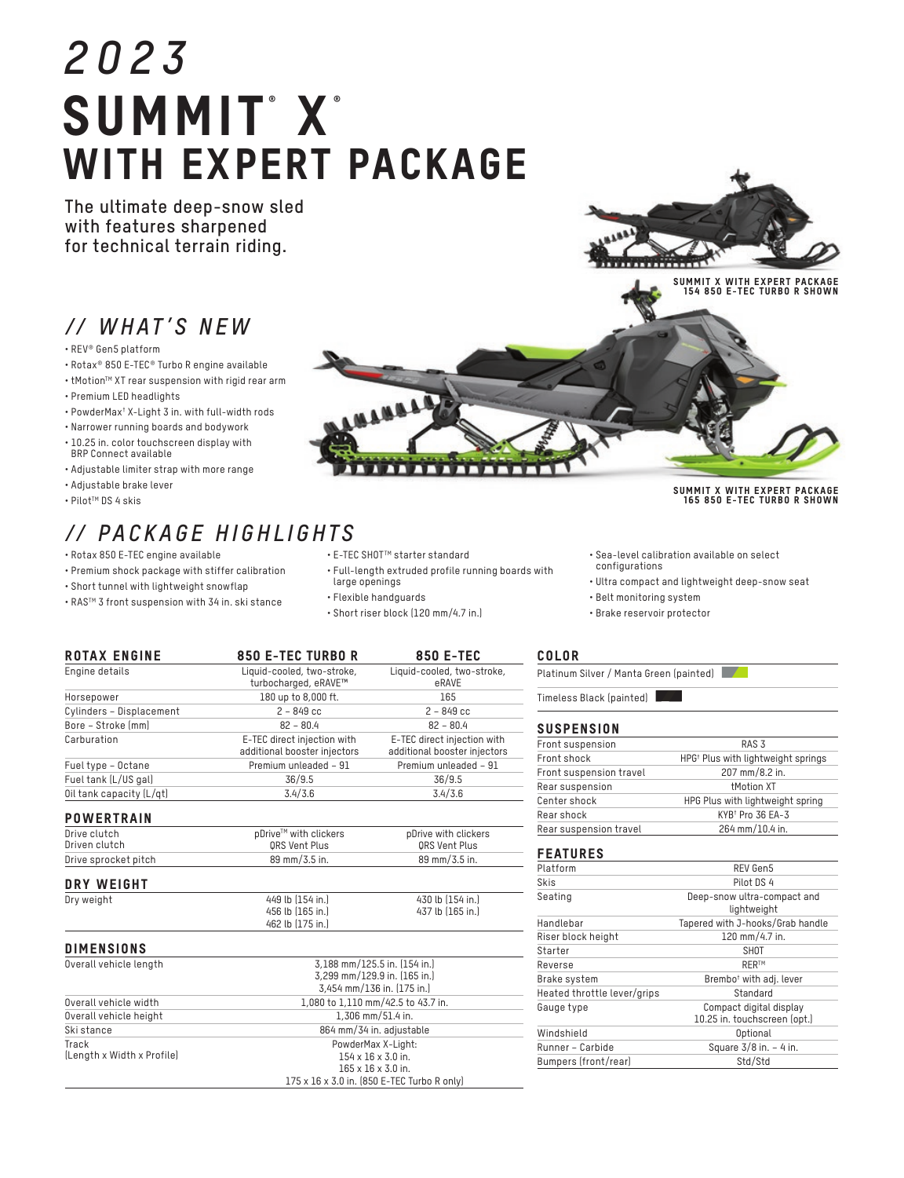# *2023* SUMMIT®X® WITH EXPERT PACKAGE

**The ultimate deep-snow sled with features sharpened for technical terrain riding.**

# *// WHAT'S NEW*

- REV® Gen5 platform
- Rotax® 850 E-TEC® Turbo R engine available
- tMotion<sup>™</sup> XT rear suspension with rigid rear arm
- Premium LED headlights
- PowderMax† X-Light 3 in. with full-width rods
- Narrower running boards and bodywork
- 10.25 in. color touchscreen display with BRP Connect available
- Adjustable limiter strap with more range
- Adjustable brake lever
- PilotTM DS 4 skis

# *// PACKAGE HIGHLIGHTS*

Engine details Liquid-cooled, two-stroke,

- Rotax 850 E-TEC engine available
- Premium shock package with stiffer calibration
- Short tunnel with lightweight snowflap
- RASTM 3 front suspension with 34 in. ski stance
- E-TEC SHOTTM starter standard
- Full-length extruded profile running boards with large openings

Liquid-cooled, two-stroke, eRAVE

- Flexible handguards
- Short riser block (120 mm/4.7 in.)

# COLOR

Platinum Silver / Manta Green (painted)

Timeless Black (painted)

# **SUSPENSION**

| Front suspension        | RAS <sub>3</sub>                               |  |
|-------------------------|------------------------------------------------|--|
| Front shock             | HPG <sup>†</sup> Plus with lightweight springs |  |
| Front suspension travel | 207 mm/8.2 in.                                 |  |
| Rear suspension         | <b>tMotion XT</b>                              |  |
| Center shock            | HPG Plus with lightweight spring               |  |
| Rear shock              | KYB <sup>+</sup> Pro 36 EA-3                   |  |
| Rear suspension travel  | 264 mm/10.4 in.                                |  |

#### FEATURES

| Platform                    | REV Gen5                                                |  |
|-----------------------------|---------------------------------------------------------|--|
| Skis                        | Pilot DS 4                                              |  |
| Seating                     | Deep-snow ultra-compact and<br>lightweight              |  |
| Handlebar                   | Tapered with J-hooks/Grab handle                        |  |
| Riser block height          | 120 mm/4.7 in.                                          |  |
| Starter                     | <b>SHOT</b>                                             |  |
| Reverse                     | <b>RERTM</b>                                            |  |
| Brake system                | Brembo <sup>†</sup> with adj. lever                     |  |
| Heated throttle lever/grips | Standard                                                |  |
| Gauge type                  | Compact digital display<br>10.25 in. touchscreen (opt.) |  |
| Windshield                  | Optional                                                |  |
| Runner - Carbide            | Square $3/8$ in. $-4$ in.                               |  |
| Bumpers (front/rear)        | Std/Std                                                 |  |

|                                                    |                                                             | 165                                                         |
|----------------------------------------------------|-------------------------------------------------------------|-------------------------------------------------------------|
| Horsepower                                         | 180 up to 8,000 ft.                                         |                                                             |
| Cylinders - Displacement                           | $2 - 849$ cc                                                | $2 - 849$ cc                                                |
| Bore - Stroke [mm]                                 | $82 - 80.4$                                                 | $82 - 80.4$                                                 |
| Carburation                                        | E-TEC direct injection with<br>additional booster injectors | E-TEC direct injection with<br>additional booster injectors |
| Fuel type - Octane                                 | Premium unleaded - 91                                       | Premium unleaded - 91                                       |
| Fuel tank (L/US gal)                               | 36/9.5                                                      | 36/9.5                                                      |
| Oil tank capacity (L/qt)                           | 3.4/3.6                                                     | 3.4/3.6                                                     |
|                                                    |                                                             |                                                             |
| <b>POWERTRAIN</b><br>Drive clutch<br>Driven clutch | pDrive™ with clickers                                       | pDrive with clickers                                        |
| Drive sprocket pitch                               | ORS Vent Plus<br>89 mm/3.5 in.                              | QRS Vent Plus<br>89 mm/3.5 in.                              |
| DRY WEIGHT                                         |                                                             |                                                             |
| Dry weight                                         | 449 lb (154 in.)                                            | 430 lb (154 in.)                                            |
|                                                    | 456 lb (165 in.)                                            | 437 lb (165 in.)                                            |

| <b>DIMENSIONS</b>          |                                             |
|----------------------------|---------------------------------------------|
| Overall vehicle length     | 3.188 mm/125.5 in. (154 in.)                |
|                            | 3.299 mm/129.9 in. (165 in.)                |
|                            | 3.454 mm/136 in. [175 in.]                  |
| Overall vehicle width      | 1,080 to 1,110 mm/42.5 to 43.7 in.          |
| Overall vehicle height     | $1.306$ mm/51.4 in.                         |
| Ski stance                 | 864 mm/34 in. adjustable                    |
| Track                      | PowderMax X-Light:                          |
| (Length x Width x Profile) | $154 \times 16 \times 3.0$ in.              |
|                            | $165 \times 16 \times 3.0$ in.              |
|                            | 175 x 16 x 3.0 in. (850 E-TEC Turbo R only) |

ת תח m

SUMMIT X WITH EXPERT PACKAGE 165 850 E-TEC TURBO R SHOWN

- Sea-level calibration available on select
- configurations
- Ultra compact and lightweight deep-snow seat
- Belt monitoring system
- Brake reservoir protector



ROTAX ENGINE 850 E-TEC TURBO R 850 E-TEC

turbocharged, eRAVE™